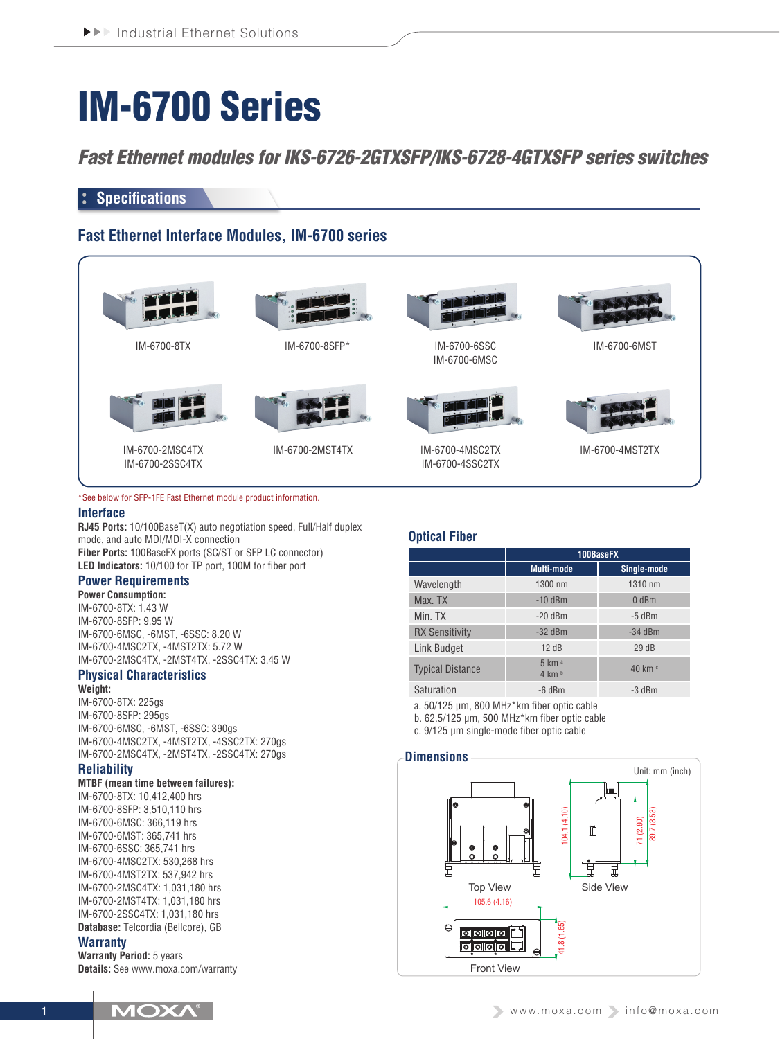# IM-6700 Series

*Fast Ethernet modules for IKS-6726-2GTXSFP/IKS-6728-4GTXSFP series switches*

# **Specifications**

# **Fast Ethernet Interface Modules, IM-6700 series**



#### \*See below for SFP-1FE Fast Ethernet module product information.

#### **Interface**

**RJ45 Ports:** 10/100BaseT(X) auto negotiation speed, Full/Half duplex mode, and auto MDI/MDI-X connection **Fiber Ports:** 100BaseFX ports (SC/ST or SFP LC connector) **LED Indicators:** 10/100 for TP port, 100M for fiber port

# **Power Requirements**

**Power Consumption:** IM-6700-8TX: 1.43 W IM-6700-8SFP: 9.95 W IM-6700-6MSC, -6MST, -6SSC: 8.20 W IM-6700-4MSC2TX, -4MST2TX: 5.72 W IM-6700-2MSC4TX, -2MST4TX, -2SSC4TX: 3.45 W

#### **Physical Characteristics Weight:**

IM-6700-8TX: 225gs IM-6700-8SFP: 295gs IM-6700-6MSC, -6MST, -6SSC: 390gs IM-6700-4MSC2TX, -4MST2TX, -4SSC2TX: 270gs IM-6700-2MSC4TX, -2MST4TX, -2SSC4TX: 270gs

## **Reliability**

#### **MTBF (mean time between failures):**

IM-6700-8TX: 10,412,400 hrs IM-6700-8SFP: 3,510,110 hrs IM-6700-6MSC: 366,119 hrs IM-6700-6MST: 365,741 hrs IM-6700-6SSC: 365,741 hrs IM-6700-4MSC2TX: 530,268 hrs IM-6700-4MST2TX: 537,942 hrs IM-6700-2MSC4TX: 1,031,180 hrs IM-6700-2MST4TX: 1,031,180 hrs IM-6700-2SSC4TX: 1,031,180 hrs **Database:** Telcordia (Bellcore), GB

### **Warranty**

**Warranty Period:** 5 years **Details:** See www.moxa.com/warranty

## **Optical Fiber**

|                         | 100BaseFX                             |                 |  |  |  |
|-------------------------|---------------------------------------|-----------------|--|--|--|
|                         | <b>Multi-mode</b>                     | Single-mode     |  |  |  |
| Wavelength              | 1300 nm                               | 1310 nm         |  |  |  |
| Max. TX                 | $-10$ dBm                             | $0$ dBm         |  |  |  |
| Min. TX                 | $-20$ dBm                             | $-5$ dBm        |  |  |  |
| <b>RX Sensitivity</b>   | $-32$ dBm                             | $-34$ dBm       |  |  |  |
| Link Budget             | 12dB                                  | 29dB            |  |  |  |
| <b>Typical Distance</b> | 5 km a<br>$4 \text{ km}$ <sup>b</sup> | 40 km $\degree$ |  |  |  |
| Saturation              | $-6$ dBm                              | -3 dBm          |  |  |  |

a. 50/125 μm, 800 MHz\*km fiber optic cable b. 62.5/125 μm, 500 MHz\*km fiber optic cable

c. 9/125 μm single-mode fiber optic cable

#### **Dimensions**